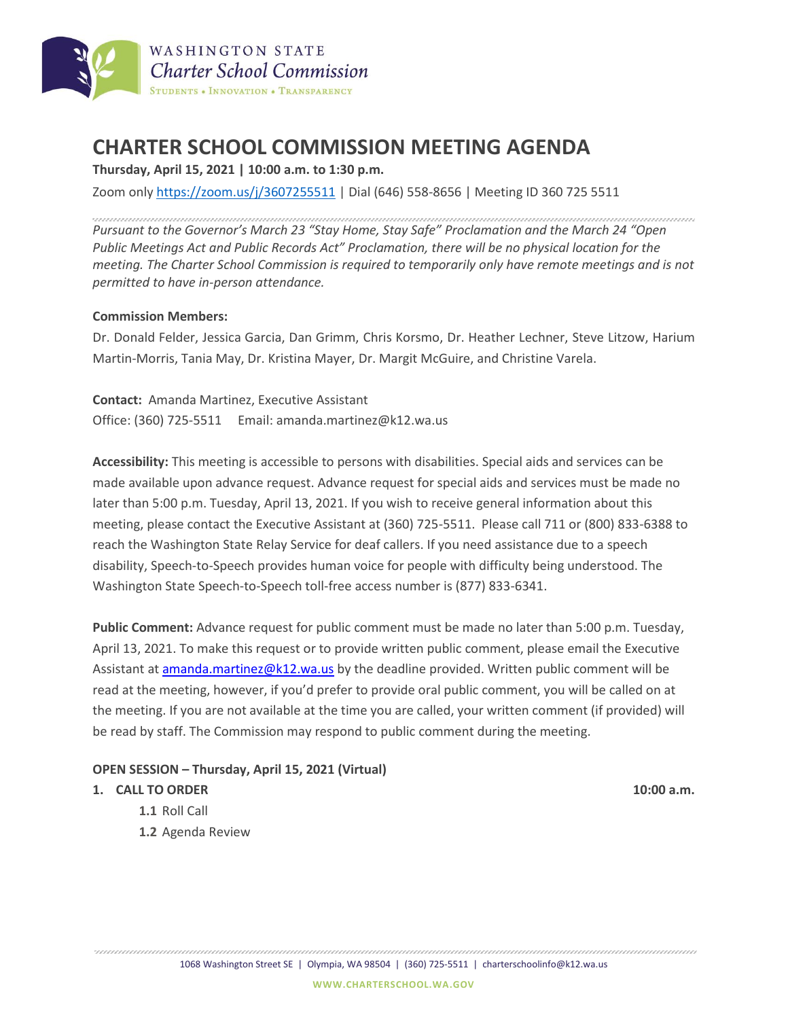

# **CHARTER SCHOOL COMMISSION MEETING AGENDA**

**Thursday, April 15, 2021 | 10:00 a.m. to 1:30 p.m.**

Zoom only <https://zoom.us/j/3607255511> | Dial (646) 558-8656 | Meeting ID 360 725 5511

*Pursuant to the Governor's March 23 "Stay Home, Stay Safe" Proclamation and the March 24 "Open Public Meetings Act and Public Records Act" Proclamation, there will be no physical location for the meeting. The Charter School Commission is required to temporarily only have remote meetings and is not permitted to have in-person attendance.*

#### **Commission Members:**

Dr. Donald Felder, Jessica Garcia, Dan Grimm, Chris Korsmo, Dr. Heather Lechner, Steve Litzow, Harium Martin-Morris, Tania May, Dr. Kristina Mayer, Dr. Margit McGuire, and Christine Varela.

**Contact:** Amanda Martinez, Executive Assistant Office: (360) 725-5511 Email: amanda.martinez@k12.wa.us

**Accessibility:** This meeting is accessible to persons with disabilities. Special aids and services can be made available upon advance request. Advance request for special aids and services must be made no later than 5:00 p.m. Tuesday, April 13, 2021. If you wish to receive general information about this meeting, please contact the Executive Assistant at (360) 725-5511. Please call 711 or (800) 833-6388 to reach the Washington State Relay Service for deaf callers. If you need assistance due to a speech disability, Speech-to-Speech provides human voice for people with difficulty being understood. The Washington State Speech-to-Speech toll-free access number is (877) 833-6341.

**Public Comment:** Advance request for public comment must be made no later than 5:00 p.m. Tuesday, April 13, 2021. To make this request or to provide written public comment, please email the Executive Assistant at [amanda.martinez@k12.wa.us](mailto:amanda.martinez@k12.wa.us) by the deadline provided. Written public comment will be read at the meeting, however, if you'd prefer to provide oral public comment, you will be called on at the meeting. If you are not available at the time you are called, your written comment (if provided) will be read by staff. The Commission may respond to public comment during the meeting.

#### **OPEN SESSION – Thursday, April 15, 2021 (Virtual)**

#### **1. CALL TO ORDER 10:00 a.m.**

- **1.1** Roll Call
- **1.2** Agenda Review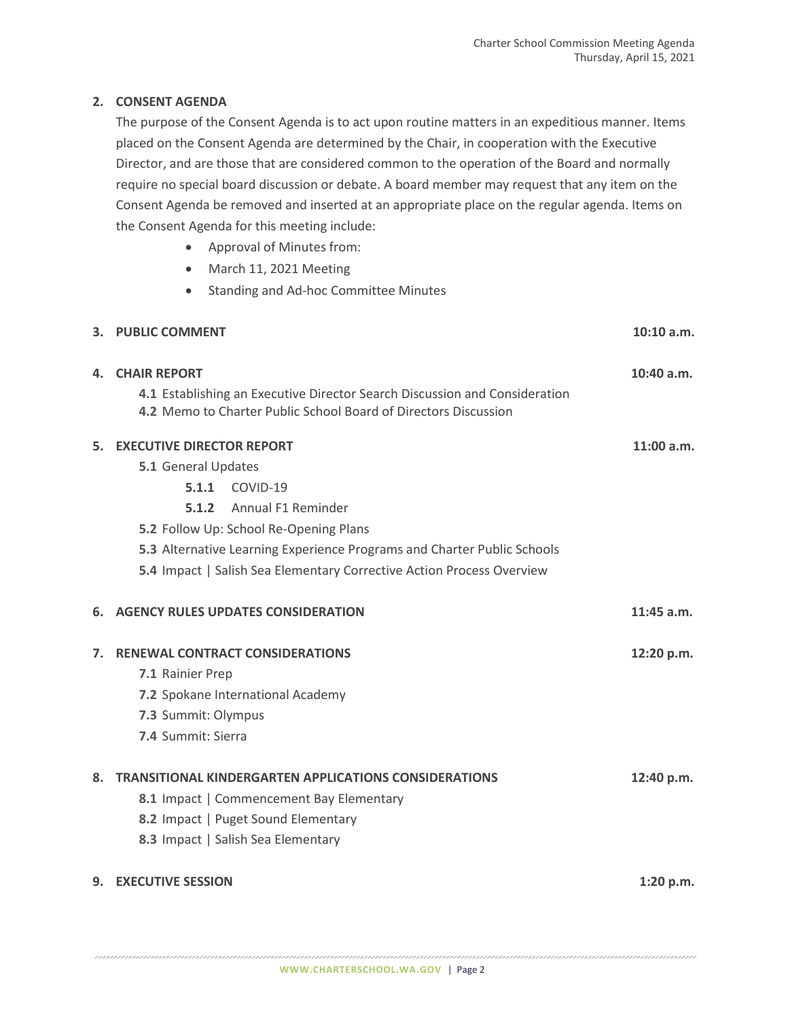## **2. CONSENT AGENDA**

The purpose of the Consent Agenda is to act upon routine matters in an expeditious manner. Items placed on the Consent Agenda are determined by the Chair, in cooperation with the Executive Director, and are those that are considered common to the operation of the Board and normally require no special board discussion or debate. A board member may request that any item on the Consent Agenda be removed and inserted at an appropriate place on the regular agenda. Items on the Consent Agenda for this meeting include:

- Approval of Minutes from:
- March 11, 2021 Meeting
- Standing and Ad-hoc Committee Minutes

|    | 3. PUBLIC COMMENT                                                                                                                                                    | 10:10 a.m.   |
|----|----------------------------------------------------------------------------------------------------------------------------------------------------------------------|--------------|
| 4. | <b>CHAIR REPORT</b><br>4.1 Establishing an Executive Director Search Discussion and Consideration<br>4.2 Memo to Charter Public School Board of Directors Discussion | 10:40 a.m.   |
| 5. | <b>EXECUTIVE DIRECTOR REPORT</b>                                                                                                                                     | 11:00 a.m.   |
|    | 5.1 General Updates                                                                                                                                                  |              |
|    | <b>5.1.1 COVID-19</b>                                                                                                                                                |              |
|    | Annual F1 Reminder<br>5.1.2                                                                                                                                          |              |
|    | 5.2 Follow Up: School Re-Opening Plans                                                                                                                               |              |
|    | 5.3 Alternative Learning Experience Programs and Charter Public Schools                                                                                              |              |
|    | 5.4 Impact   Salish Sea Elementary Corrective Action Process Overview                                                                                                |              |
| 6. | <b>AGENCY RULES UPDATES CONSIDERATION</b>                                                                                                                            | $11:45$ a.m. |
| 7. | <b>RENEWAL CONTRACT CONSIDERATIONS</b>                                                                                                                               | 12:20 p.m.   |
|    | 7.1 Rainier Prep                                                                                                                                                     |              |
|    | 7.2 Spokane International Academy                                                                                                                                    |              |
|    | 7.3 Summit: Olympus                                                                                                                                                  |              |
|    | 7.4 Summit: Sierra                                                                                                                                                   |              |
| 8. | <b>TRANSITIONAL KINDERGARTEN APPLICATIONS CONSIDERATIONS</b>                                                                                                         | 12:40 p.m.   |
|    | 8.1 Impact   Commencement Bay Elementary                                                                                                                             |              |
|    | 8.2 Impact   Puget Sound Elementary                                                                                                                                  |              |
|    | 8.3 Impact   Salish Sea Elementary                                                                                                                                   |              |
|    | 9. EXECUTIVE SESSION                                                                                                                                                 | 1:20 p.m.    |